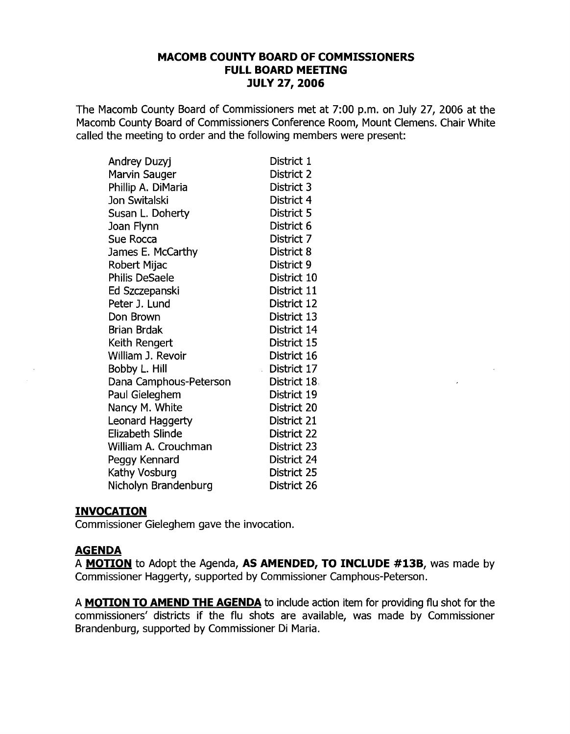## **MACOMB COUNTY BOARD OF COMMISSIONERS FULL BOARD MEETING JULY 27, 2006**

The Macomb County Board of Commissioners met at 7:00 p.m. on July 27, 2006 at the Macomb County Board of Commissioners Conference Room, Mount Clemens. Chair White called the meeting to order and the following members were present:

| Andrey Duzyj           | District 1   |
|------------------------|--------------|
| Marvin Sauger          | District 2   |
| Phillip A. DiMaria     | District 3   |
| Jon Switalski          | District 4   |
| Susan L. Doherty       | District 5   |
| Joan Flynn             | District 6   |
| Sue Rocca              | District 7   |
| James E. McCarthy      | District 8   |
| Robert Mijac           | District 9   |
| <b>Philis DeSaele</b>  | District 10  |
| Ed Szczepanski         | District 11  |
| Peter J. Lund          | District 12  |
| Don Brown              | District 13  |
| <b>Brian Brdak</b>     | District 14  |
| Keith Rengert          | District 15  |
| William J. Revoir      | District 16  |
| Bobby L. Hill          | District 17  |
| Dana Camphous-Peterson | District 18. |
| Paul Gieleghem         | District 19  |
| Nancy M. White         | District 20  |
| Leonard Haggerty       | District 21  |
| Elizabeth Slinde       | District 22  |
| William A. Crouchman   | District 23  |
| Peggy Kennard          | District 24  |
| Kathy Vosburg          | District 25  |
| Nicholyn Brandenburg   | District 26  |

#### **INVOCATION**

Commissioner Gieleghem gave the invocation.

## **AGENDA**

A **MOTION** to Adopt the Agenda, **AS AMENDED, TO INCLUDE #13B,** was made by Commissioner Haggerty, supported by Commissioner Camphous-Peterson.

A **MOTION TO AMEND THE AGENDA** to include action item for providing flu shot for the commissioners' districts if the flu shots are available, was made by Commissioner Brandenburg, supported by Commissioner Di Maria.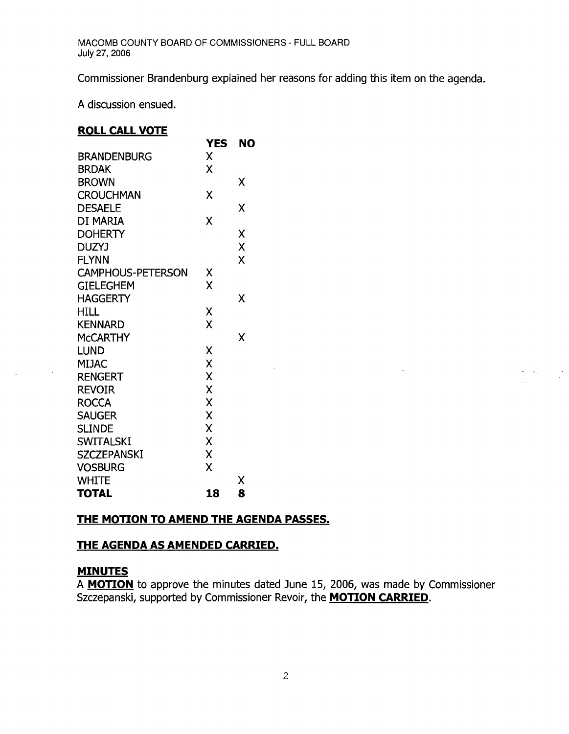Commissioner Brandenburg explained her reasons for adding this item on the agenda.

A discussion ensued.

#### **ROLL CALL VOTE**

|                          | <b>YES</b> | <b>NO</b> |
|--------------------------|------------|-----------|
| <b>BRANDENBURG</b>       | X          |           |
| <b>BRDAK</b>             | x          |           |
| <b>BROWN</b>             |            | Χ         |
| <b>CROUCHMAN</b>         | X          |           |
| <b>DESAELE</b>           |            | χ         |
| DI MARIA                 | X          |           |
| <b>DOHERTY</b>           |            | Χ         |
| <b>DUZYJ</b>             |            | X         |
| <b>FLYNN</b>             |            | X         |
| <b>CAMPHOUS-PETERSON</b> | χ          |           |
| <b>GIELEGHEM</b>         | X          |           |
| <b>HAGGERTY</b>          |            | Χ         |
| <b>HILL</b>              | χ          |           |
| <b>KENNARD</b>           | X          |           |
| <b>McCARTHY</b>          |            | Χ         |
| LUND                     | Χ          |           |
| MIJAC                    | X          |           |
| <b>RENGERT</b>           | X          |           |
| <b>REVOIR</b>            | X          |           |
| <b>ROCCA</b>             | X          |           |
| <b>SAUGER</b>            | X          |           |
| <b>SLINDE</b>            | X          |           |
| <b>SWITALSKI</b>         | X          |           |
| <b>SZCZEPANSKI</b>       | X          |           |
| <b>VOSBURG</b>           | χ          |           |
| <b>WHITE</b>             |            | Χ         |
| <b>TOTAL</b>             | 18         | 8         |

## **THE MOTION TO AMEND THE AGENDA PASSES.**

## **THE AGENDA AS AMENDED CARRIED.**

#### **MINUTES**

A **MOTION** to approve the minutes dated June 15, 2006, was made by Commissioner Szczepanski, supported by Commissioner Revoir, the **MOTION CARRIED.** 

 $\ddot{\phantom{a}}$ 

 $\mathcal{L}_{\mathrm{c}}$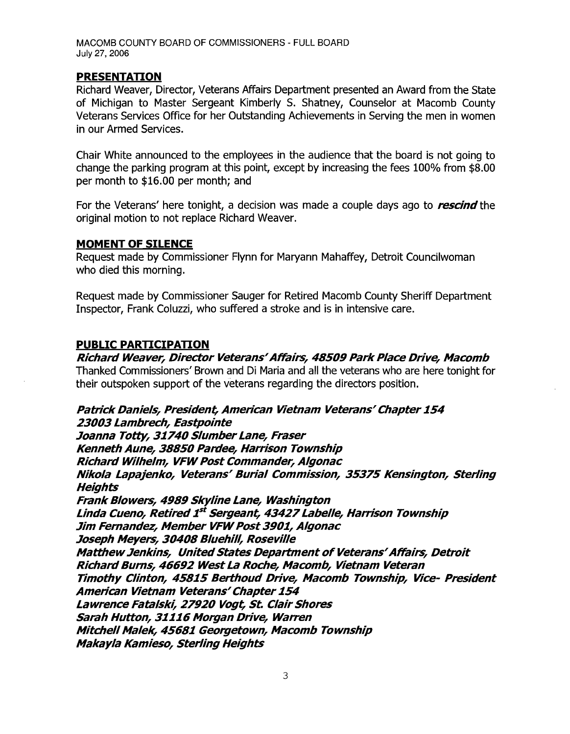#### **PRESENTATION**

Richard Weaver, Director, Veterans Affairs Department presented an Award from the State of Michigan to Master Sergeant Kimberly S. Shatney, Counselor at Macomb County Veterans Services Office for her Outstanding Achievements in Serving the men in women in our Armed Services.

Chair White announced to the employees in the audience that the board is not going to change the parking program at this point, except by increasing the fees 100% from \$8.00 per month to \$16.00 per month; and

For the Veterans' here tonight, a decision was made a couple days ago to *rescind* the original motion to not replace Richard Weaver.

#### **MOMENT OF SILENCE**

Request made by Commissioner Flynn for Maryann Mahaffey, Detroit Councilwoman who died this morning.

Request made by Commissioner Sauger for Retired Macomb County Sheriff Department Inspector, Frank Coluzzi, who suffered a stroke and is in intensive care.

#### **PUBLIC PARTICIPATION**

# **Richard Weaver, Director Veterans' Affairs, 48509 Park Place Drive, Macomb**

Thanked Commissioners' Brown and Di Maria and all the veterans who are here tonight for their outspoken support of the veterans regarding the directors position.

#### **Patrick Daniels, President, American Vietnam Veterans' Chapter 154 23003 Lambrech, Eastpointe**

**Joanna Totty, 31740 Slumber Lane, Fraser Kenneth Aune, 38850 Pardee, Harrison Township Richard Wilhelm, VFW Post Commander, Algonac Nikola Lapajenko, Veterans' Burial Commission, 35375 Kensington, Sterling Heights Frank Blowers, 4989 Skyline Lane, Washington Linda Cueno, Retired1***st* **Sergeant, 43427Labelle, Harrison Township Jim Fernandez, Member VFW Post 3901, Algonac Joseph Meyers, 30408 Bluehill, Roseville Matthew Jenkins, United States Department of Veterans' Affairs, Detroit Richard Burns, 46692 West La Roche, Macomb, Vietnam Veteran Timothy Clinton, 45815 Berthoud Drive, Macomb Township, Vice- President American Vietnam Veterans' Chapter154**  Lawrence Fatalski, 27920 Vogt, St. Clair Shores **Sarah Hutton, 31116 Morgan Drive, Warren Mitchell Malek, 45681 Georgetown, Macomb Township Makayla Kamieso, Sterling Heights**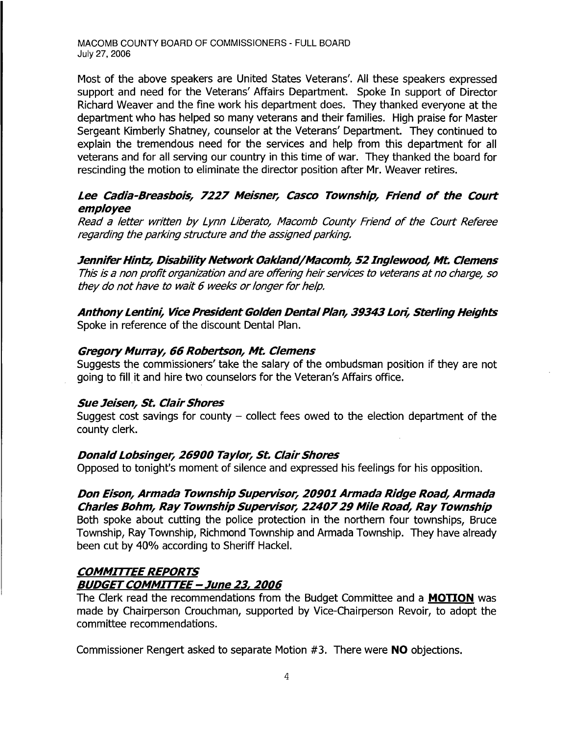Most of the above speakers are United States Veterans'. All these speakers expressed support and need for the Veterans' Affairs Department. Spoke In support of Director Richard Weaver and the fine work his department does. They thanked everyone at the department who has helped so many veterans and their families. High praise for Master Sergeant Kimberly Shatney, counselor at the Veterans' Department. They continued to explain the tremendous need for the services and help from this department for all veterans and for all serving our country in this time of war. They thanked the board for rescinding the motion to eliminate the director position after Mr. Weaver retires.

## **Lee Cadia-Breasbois, 7227 Meisner, Casco Township, Friend of the Court employee**

Read a letter written by Lynn Liberato, Macomb County Friend of the Court Referee regarding the parking structure and the assigned parking.

**JenniferHintz, DisabilityNetwork Oakland/Macomb, 52Inglewood, Mt. Clemens**  This is a non profit organization and are offering heir services to veterans at no charge, so they do not have to wait 6 weeks or longer for help.

**AnthonyLentini, Vice President Golden DentalPlan, 39343 Lori, Sterling Heights**  Spoke in reference of the discount Dental Plan.

## **Gregory Murray, 66 Robertson, Mt. Clemens**

Suggests the commissioners' take the salary of the ombudsman position if they are not going to fill it and hire two counselors for the Veteran's Affairs office.

#### **Sue Jeisen, St. ClairShores**

Suggest cost savings for county  $-$  collect fees owed to the election department of the county clerk.

## **Donald Lobsinger, 26900 Taylor, St. Clair Shores**

Opposed to tonight's moment of silence and expressed his feelings for his opposition.

# **Don Eison, Armada Township Supervisor, 20901 Armada Ridge Road, Armada Charles Bohm, Ray Township Supervisor, 2240729 Mile Road, Ray Township**

Both spoke about cutting the police protection in the northern four townships, Bruce Township, Ray Township, Richmond Township and Armada Township. They have already been cut by 40% according to Sheriff Hackel.

## **COMMITTEE REPORTS BUDGETCOMMITTEE - June** 23, **2006**

The Clerk read the recommendations from the Budget Committee and a **MOTION** was made by Chairperson Crouchman, supported by Vice-Chairperson Revoir, to adopt the committee recommendations.

Commissioner Rengert asked to separate Motion #3. There were **NO** objections.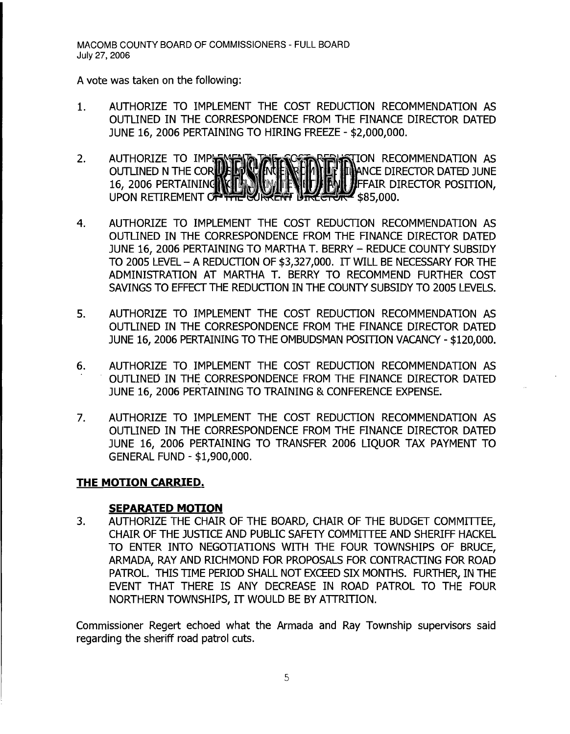A vote was taken on the following:

- 1. AUTHORIZE TO IMPLEMENT THE COST REDUCTION RECOMMENDATION AS OUTLINED IN THE CORRESPONDENCE FROM THE FINANCE DIRECTOR DATED JUNE 16, 2006 PERTAINING TO HIRING FREEZE - \$2,000,000.
- 2. AUTHORIZE TO IMP IN FILE TO THE INTERNATION AS OUTLINED N THE CORLLELY WINTER RELIABLE THE ANCE DIRECTOR DATED JUNE 16, 2006 PERTAINING **NGLEARING FRIEDER IN A PERSON DIRECTOR POSITION,** UPON RETIREMENT OF THE CURRENT BIREGROW  $$85,000.$
- 4. AUTHORIZE TO IMPLEMENT THE COST REDUCTION RECOMMENDATION AS OUTLINED IN THE CORRESPONDENCE FROM THE FINANCE DIRECTOR DATED JUNE 16, 2006 PERTAINING TO MARTHA T. BERRY - REDUCE COUNTY SUBSIDY TO 2005 LEVEL - A REDUCTION OF \$3,327,000. IT WILL BE NECESSARY FOR THE ADMINISTRATION AT MARTHA T. BERRY TO RECOMMEND FURTHER COST SAVINGS TO EFFECT THE REDUCTION IN THE COUNTY SUBSIDY TO 2005 LEVELS.
- 5. AUTHORIZE TO IMPLEMENT THE COST REDUCTION RECOMMENDATION AS OUTLINED IN THE CORRESPONDENCE FROM THE FINANCE DIRECTOR DATED JUNE 16, 2006 PERTAINING TO THE OMBUDSMAN POSITION VACANCY - \$120,000.
- 6. AUTHORIZE TO IMPLEMENT THE COST REDUCTION RECOMMENDATION AS OUTLINED IN THE CORRESPONDENCE FROM THE FINANCE DIRECTOR DATED JUNE 16, 2006 PERTAINING TO TRAINING & CONFERENCE EXPENSE.
- 7. AUTHORIZE TO IMPLEMENT THE COST REDUCTION RECOMMENDATION AS OUTLINED IN THE CORRESPONDENCE FROM THE FINANCE DIRECTOR DATED JUNE 16, 2006 PERTAINING TO TRANSFER 2006 LIQUOR TAX PAYMENT TO GENERAL FUND - \$1,900,000.

## **THE MOTION CARRIED.**

## **SEPARATED MOTION**

3. AUTHORIZE THE CHAIR OF THE BOARD, CHAIR OF THE BUDGET COMMITTEE, CHAIR OF THE JUSTICE AND PUBLIC SAFETY COMMITTEE AND SHERIFF HACKEL TO ENTER INTO NEGOTIATIONS WITH THE FOUR TOWNSHIPS OF BRUCE, ARMADA, RAY AND RICHMOND FOR PROPOSALS FOR CONTRACTING FOR ROAD PATROL. THIS TIME PERIOD SHALL NOT EXCEED SIX MONTHS. FURTHER, IN THE EVENT THAT THERE IS ANY DECREASE IN ROAD PATROL TO THE FOUR NORTHERN TOWNSHIPS, IT WOULD BE BY ATTRITION.

Commissioner Regert echoed what the Armada and Ray Township supervisors said regarding the sheriff road patrol cuts.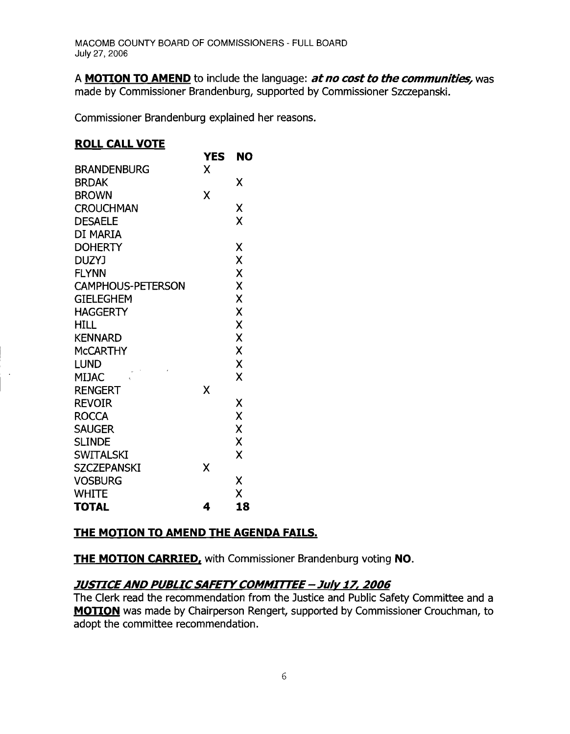A **MOTION TO AMEND** to include the language: *at no cost to the communities*, was made by Commissioner Brandenburg, supported by Commissioner Szczepanski.

Commissioner Brandenburg explained her reasons.

## **ROLL CALL VOTE**

|                          | YES | NO |
|--------------------------|-----|----|
| <b>BRANDENBURG</b>       | X   |    |
| <b>BRDAK</b>             |     | X  |
| <b>BROWN</b>             | X   |    |
| <b>CROUCHMAN</b>         |     | Χ  |
| <b>DESAELE</b>           |     | X  |
| DI MARIA                 |     |    |
| <b>DOHERTY</b>           |     | Χ  |
| <b>DUZYJ</b>             |     | Χ  |
| <b>FLYNN</b>             |     | X  |
| <b>CAMPHOUS-PETERSON</b> |     | X  |
| <b>GIELEGHEM</b>         |     | X  |
| <b>HAGGERTY</b>          |     | X  |
| <b>HILL</b>              |     | X  |
| <b>KENNARD</b>           |     | X  |
| <b>MCCARTHY</b>          |     | X  |
| <b>LUND</b>              |     | X  |
| <b>MIJAC</b>             |     | X  |
| <b>RENGERT</b>           | χ   |    |
| <b>REVOIR</b>            |     | X  |
| <b>ROCCA</b>             |     | X  |
| <b>SAUGER</b>            |     | X  |
| <b>SLINDE</b>            |     | χ  |
| <b>SWITALSKI</b>         |     | X  |
| <b>SZCZEPANSKI</b>       | χ   |    |
| <b>VOSBURG</b>           |     | χ  |
| <b>WHITE</b>             |     | X  |
| <b>TOTAL</b>             | 4   | 18 |

# **THE MOTION TO AMEND THE AGENDA FAILS.**

**THE MOTION CARRIED, with Commissioner Brandenburg voting NO.** 

# **JUSTICEAND PUBLICSAFETYCOMMITTEE - Julv 17, 2006**

The Clerk read the recommendation from the Justice and Public Safety Committee and a **MOTION** was made by Chairperson Rengert, supported by Commissioner Crouchman, to adopt the committee recommendation.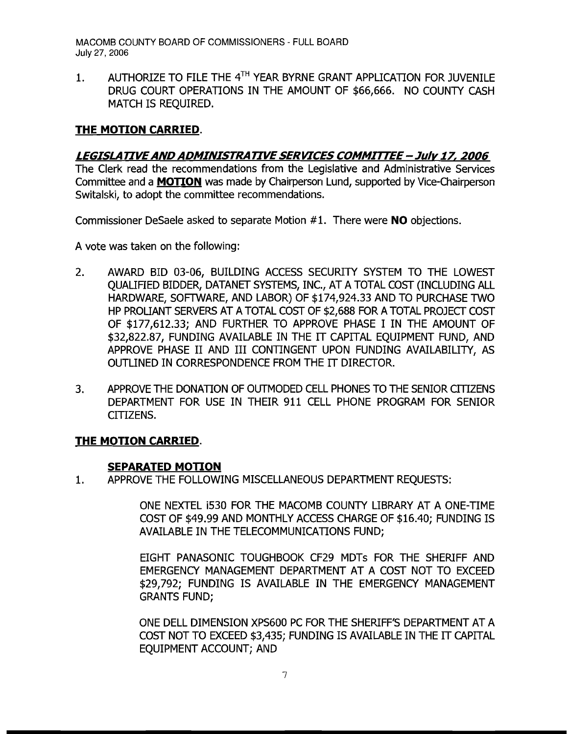1. AUTHORIZE TO FILE THE  $4^{TH}$  YEAR BYRNE GRANT APPLICATION FOR JUVENILE DRUG COURT OPERATIONS IN THE AMOUNT OF \$66,666. NO COUNTY CASH MATCH IS REQUIRED.

## **THE MOTION CARRIED.**

## **LEGISLATIVEAND ADMINISTRATIVESERVICES COMMrITEE - Julv 17, 2006**

The Clerk read the recommendations from the Legislative and Administrative Services Committee and a **MOTION** was made by Chairperson Lund, supported by Vice-Chairperson Switalski, to adopt the committee recommendations.

Commissioner DeSaele asked to separate Motion # 1. There were **NO** objections.

A vote was taken on the following:

- 2. AWARD BID 03-06, BUILDING ACCESS SECURITY SYSTEM TO THE LOWEST QUALIFIED BIDDER, DATANET SYSTEMS, INC., AT A TOTAL COST (INCLUDING ALL HARDWARE, SOFTWARE, AND LABOR) OF \$174,924.33 AND TO PURCHASE TWO HP PROLIANT SERVERS AT A TOTAL COST OF \$2,688 FOR A TOTAL PROJECT *COST*  OF \$177,612.33; AND FURTHER TO APPROVE PHASE I IN THE AMOUNT OF \$32,822.87, FUNDING AVAILABLE IN THE IT CAPITAL EQUIPMENT FUND, AND APPROVE PHASE II AND III CONTINGENT UPON FUNDING AVAILABILITY, AS OUTLINED IN CORRESPONDENCE FROM THE IT DIRECTOR.
- 3. APPROVE THE DONATION OF OUTMODED CELL PHONES TO THE SENIOR CITIZENS DEPARTMENT FOR USE IN THEIR 911 CELL PHONE PROGRAM FOR SENIOR CITIZENS.

#### **THE MOTION CARRIED.**

#### **SEPARATED MOTION**

1. APPROVE THE FOLLOWING MISCELLANEOUS DEPARTMENT REQUESTS:

ONE NEXTEL i530 FOR THE MACOMB COUNTY LIBRARY AT A ONE-TIME *COST* OF \$49.99 AND MONTHLY ACCESS CHARGE OF \$16.40; FUNDING IS AVAILABLE IN THE TELECOMMUNICATIONS FUND;

EIGHT PANASONIC TOUGHBOOK CF29 MDTs FOR THE SHERIFF AND EMERGENCY MANAGEMENT DEPARTMENT AT A COST NOT TO EXCEED \$29,792; FUNDING IS AVAILABLE IN THE EMERGENCY MANAGEMENT GRANTS FUND;

ONE DELL DIMENSION XPS600 PC FOR THE SHERIFF'S DEPARTMENT AT A COST NOT TO EXCEED \$3,435; FUNDING IS AVAILABLE IN THE IT CAPITAL EOUIPMENT ACCOUNT; AND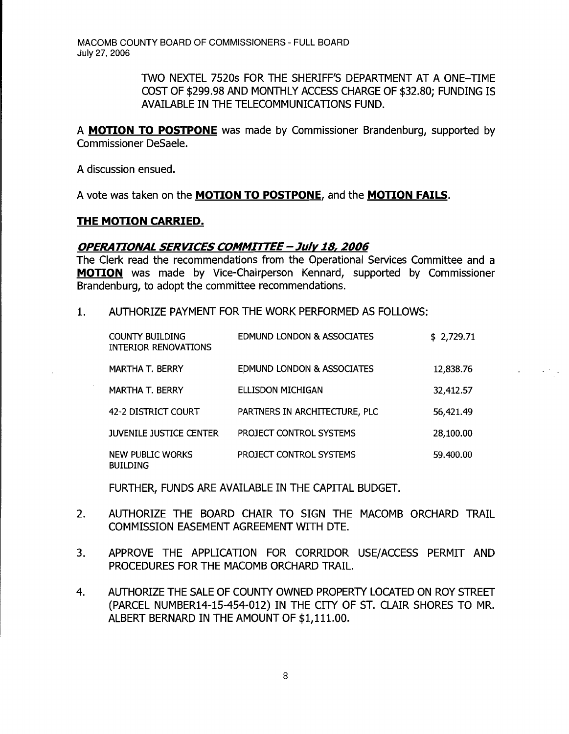> TWO NEXTEL 7520s FOR THE SHERIFF'S DEPARTMENT AT A ONE-TIME COST OF \$299.98 AND MONTHLY ACCESS CHARGE OF \$32.80; FUNDING IS AVAILABLE IN THE TELECOMMUNICATIONS FUND.

A **MOTION TO POSTPONE** was made by Commissioner Brandenburg, supported by Commissioner DeSaele.

A discussion ensued.

 $\sim 400$  km s  $^{-1}$ 

A vote was taken on the **MOTION TO POSTPONE,** and the **MOTION FAILS.** 

### **THE MOTION CARRIED.**

#### **OPERA TIONAL SERVICES COMMITTEE- July 18, 2006**

The Clerk read the recommendations from the Operational Services Committee and a **MOTION** was made by Vice-Chairperson Kennard, supported by Commissioner Brandenburg, to adopt the committee recommendations.

1. AUTHORIZE PAYMENT FOR THE WORK PERFORMED AS FOLLOWS:

| <b>COUNTY BUILDING</b><br>INTERIOR RENOVATIONS | <b>EDMUND LONDON &amp; ASSOCIATES</b> | \$2,729.71 |
|------------------------------------------------|---------------------------------------|------------|
| MARTHA T. BERRY                                | <b>EDMUND LONDON &amp; ASSOCIATES</b> | 12,838.76  |
| <b>MARTHA T. BERRY</b>                         | ELLISDON MICHIGAN                     | 32,412.57  |
| 42-2 DISTRICT COURT                            | PARTNERS IN ARCHITECTURE, PLC         | 56,421.49  |
| <b>JUVENILE JUSTICE CENTER</b>                 | PROJECT CONTROL SYSTEMS               | 28,100.00  |
| NEW PUBLIC WORKS<br><b>BUILDING</b>            | PROJECT CONTROL SYSTEMS               | 59.400.00  |

FURTHER, FUNDS ARE AVAILABLE IN THE CAPITAL BUDGET.

- 2. AUTHORIZE THE BOARD CHAIR TO SIGN THE MACOMB ORCHARD TRAIL COMMISSION EASEMENT AGREEMENT WITH DTE.
- 3. APPROVE THE APPLICATION FOR CORRIDOR USE/ACCESS PERMIT AND PROCEDURES FOR THE MACOMB ORCHARD TRAIL.
- 4. AUTHORIZE THE SALE OF COUNTY OWNED PROPERTY LOCATED ON ROY STREET (PARCEL NUMBER14-15-454-012) IN THE CITY OF ST. CLAIR SHORES TO MR. ALBERT BERNARD IN THE AMOUNT OF \$1,111.00.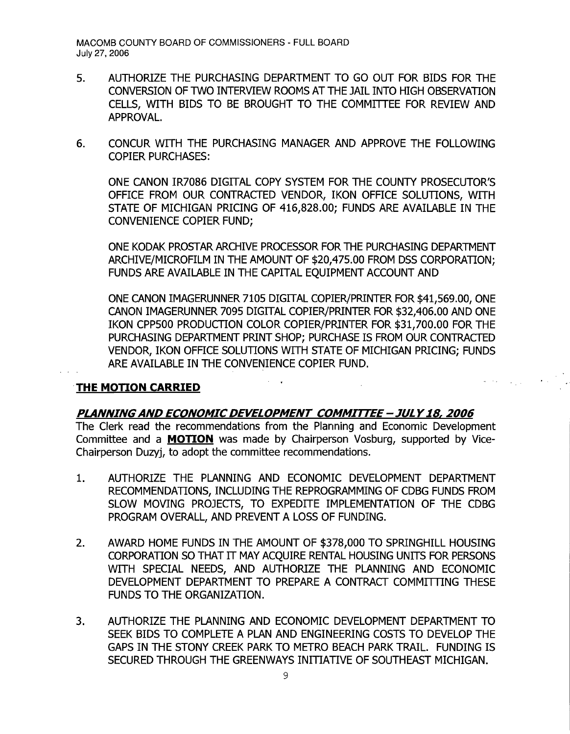- 5. AUTHORIZE THE PURCHASING DEPARTMENT TO GO OUT FOR BIDS FOR THE CONVERSION OF TWO INTERVIEW ROOMS AT THE JAIL INTO HIGH OBSERVATION CELLS, WITH BIDS TO BE BROUGHT TO THE COMMITTEE FOR REVIEW AND APPROVAL.
- 6. CONCUR WITH THE PURCHASING MANAGER AND APPROVE THE FOLLOWING COPIER PURCHASES:

ONE CANON IR7086 DIGITAL COPY SYSTEM FOR THE COUNTY PROSECUTOR'S OFFICE FROM OUR CONTRACTED VENDOR, IKON OFFICE SOLUTIONS, WITH STATE OF MICHIGAN PRICING OF 416,828.00; FUNDS ARE AVAILABLE IN THE CONVENIENCE COPIER FUND;

ONE KODAK PROSTAR ARCHIVE PROCESSOR FOR THE PURCHASING DEPARTMENT ARCHIVE/MICROFILM IN THE AMOUNT OF \$20,475.00 FROM DSS CORPORATION; FUNDS ARE AVAILABLE IN THE CAPITAL EQUIPMENT ACCOUNT AND

ONE CANON IMAGERUNNER 7105 DIGITAL COPIER/PRINTER FOR \$41,569.00, ONE CANON IMAGERUNNER 7095 DIGITAL COPIER/PRINTER FOR \$32,406.00 AND ONE IKON CPP500 PRODUCTION COLOR COPIER/PRINTER FOR \$31,700.00 FOR THE PURCHASING DEPARTMENT PRINT SHOP; PURCHASE IS FROM OUR CONTRACTED VENDOR, IKON OFFICE SOLUTIONS WITH STATE OF MICHIGAN PRICING; FUNDS ARE AVAILABLE IN THE CONVENIENCE COPIER FUND.

## **THE MOTION CARRIED**

#### **PLANNINGAND ECONOMIC DEVELOPMENT COMMITTEE - JULY18, 2006**

The Clerk read the recommendations from the Planning and Economic Development Committee and a **MOTION** was made by Chairperson Vosburg, supported by Vice-Chairperson Duzyj, to adopt the committee recommendations.

- 1. AUTHORIZE THE PLANNING AND ECONOMIC DEVELOPMENT DEPARTMENT RECOMMENDATIONS, INCLUDING THE REPROGRAMMING OF CDBG FUNDS FROM SLOW MOVING PROJECTS, TO EXPEDITE IMPLEMENTATION OF THE CDBG PROGRAM OVERALL, AND PREVENT A LOSS OF FUNDING.
- 2. AWARD HOME FUNDS IN THE AMOUNT OF \$378,000 TO SPRINGHILL HOUSING CORPORATION SO THAT IT MAY ACQUIRE RENTAL HOUSING UNITS FOR PERSONS WITH SPECIAL NEEDS, AND AUTHORIZE THE PLANNING AND ECONOMIC DEVELOPMENT DEPARTMENT TO PREPARE A CONTRACT COMMITTING THESE FUNDS TO THE ORGANIZATION.
- 3. AUTHORIZE THE PLANNING AND ECONOMIC DEVELOPMENT DEPARTMENT TO SEEK BIDS TO COMPLETE A PLAN AND ENGINEERING COSTS TO DEVELOP THE GAPS IN THE STONY CREEK PARK TO METRO BEACH PARK TRAIL. FUNDING IS SECURED THROUGH THE GREENWAYS INITIATIVE OF SOUTHEAST MICHIGAN.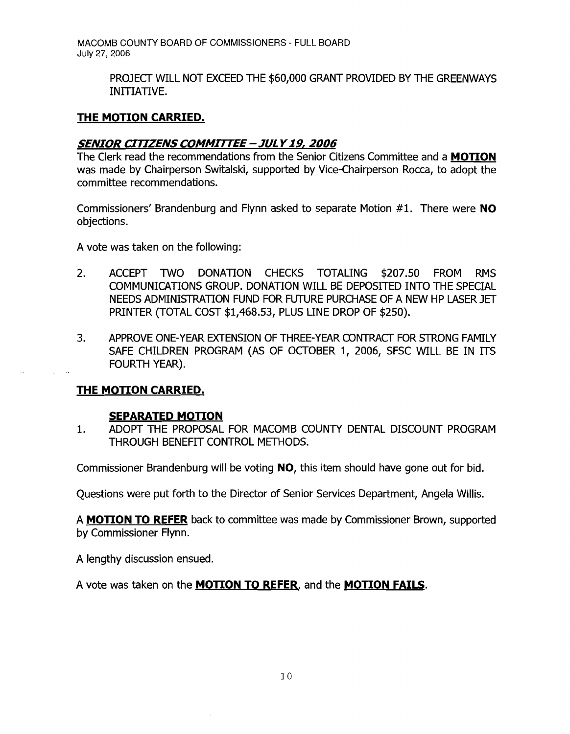> PROJECT WILL NOT EXCEED THE \$60,000 GRANT PROVIDED BY THE GREENWAYS INITIATIVE.

## **THE MOTION CARRIED.**

## **SENIOR CITIZENS COMMIrrEE- JUtY 19, 2006**

The Clerk read the recommendations from the Senior Citizens Committee and a **MOTION**  was made by Chairperson Switalski, supported by Vice-Chairperson Rocca, to adopt the committee recommendations.

Commissioners' Brandenburg and Flynn asked to separate Motion #1. There were **NO**  objections.

A vote was taken on the following:

- 2. ACCEPT TWO DONATION CHECKS TOTALING \$207.50 FROM RMS COMMUNICATIONS GROUP. DONATION WILL BE DEPOSITED INTO THE SPECIAL NEEDS ADMINISTRATION FUND FOR FUTURE PURCHASE OF A NEW HP LASER JET PRINTER (TOTAL COST \$1,468.53, PLUS LINE DROP OF \$250).
- 3. APPROVE ONE-YEAR EXTENSION OF THREE-YEAR CONTRACT FOR STRONG FAMILY SAFE CHILDREN PROGRAM (AS OF OCTOBER 1, 2006, SFSC WILL BE IN ITS FOURTH YEAR).

## **THE MOTION CARRIED.**

#### **SEPARATED MOTION**

1. ADOPT THE PROPOSAL FOR MACOMB COUNTY DENTAL DISCOUNT PROGRAM THROUGH BENEFIT CONTROL METHODS.

Commissioner Brandenburg will be voting **NO,** this item should have gone out for bid.

Questions were put forth to the Director of Senior Services Department, Angela Willis.

A **MOTION TO REFER** back to committee was made by Commissioner Brown, supported by Commissioner Flynn.

A lengthy discussion ensued.

A vote was taken on the **MOTION TO REFER,** and the **MOTION FAILS.**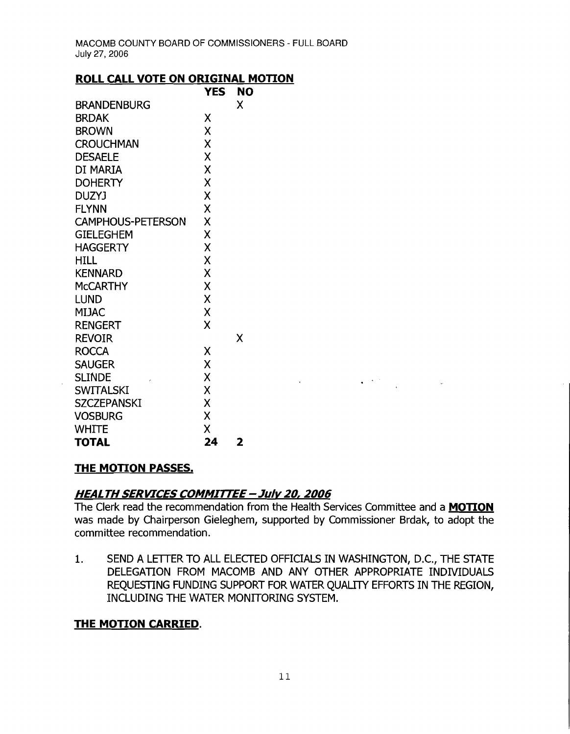## **ROLL CALL VOTE ON ORIGINAL MOTION**

|                          | <b>YES</b> | <b>NO</b> |
|--------------------------|------------|-----------|
| <b>BRANDENBURG</b>       |            | Χ         |
| <b>BRDAK</b>             | Χ          |           |
| <b>BROWN</b>             | X          |           |
| <b>CROUCHMAN</b>         | X          |           |
| <b>DESAELE</b>           | X          |           |
| DI MARIA                 | X          |           |
| <b>DOHERTY</b>           | X          |           |
| <b>DUZYJ</b>             | X          |           |
| <b>FLYNN</b>             | Χ          |           |
| <b>CAMPHOUS-PETERSON</b> | X          |           |
| <b>GIELEGHEM</b>         | X          |           |
| <b>HAGGERTY</b>          | Χ          |           |
| HILL                     | X          |           |
| <b>KENNARD</b>           | X          |           |
| <b>MCCARTHY</b>          | Χ          |           |
| <b>LUND</b>              | X          |           |
| <b>MIJAC</b>             | X          |           |
| <b>RENGERT</b>           | Χ          |           |
| <b>REVOIR</b>            |            | Χ         |
| <b>ROCCA</b>             | Χ          |           |
| <b>SAUGER</b>            | X          |           |
| <b>SLINDE</b>            | X          |           |
| <b>SWITALSKI</b>         | X          |           |
| <b>SZCZEPANSKI</b>       | X          |           |
| <b>VOSBURG</b>           | X          |           |
| <b>WHITE</b>             | X          |           |
| <b>TOTAL</b>             | 24         | 2         |

## **THE MOTION PASSES.**

# **HEALTH SERVICES COMMITTEE - July** *20,* **2006**

The Clerk read the recommendation from the Health Services Committee and a **MOTION**  was made by Chairperson Gieleghem, supported by Commissioner Brdak, to adopt the committee recommendation.

 $\label{eq:2.1} \frac{1}{2}\sum_{i=1}^n\frac{1}{2}\left(\frac{1}{2}\sum_{i=1}^n\frac{1}{2}\sum_{i=1}^n\frac{1}{2}\sum_{i=1}^n\frac{1}{2}\sum_{i=1}^n\frac{1}{2}\sum_{i=1}^n\frac{1}{2}\sum_{i=1}^n\frac{1}{2}\sum_{i=1}^n\frac{1}{2}\sum_{i=1}^n\frac{1}{2}\sum_{i=1}^n\frac{1}{2}\sum_{i=1}^n\frac{1}{2}\sum_{i=1}^n\frac{1}{2}\sum_{i=1}^n\frac{1}{2}\sum$ 

1. SEND A LETTER TO ALL ELECTED OFFICIALS IN WASHINGTON, D.C., THE STATE DELEGATION FROM MACOMB AND ANY OTHER APPROPRIATE INDIVIDUALS REQUESTING FUNDING SUPPORT FOR WATER QUALITY EFFORTS IN THE REGION, INCLUDING THE WATER MONITORING SYSTEM.

## **THE MOTION CARRIED.**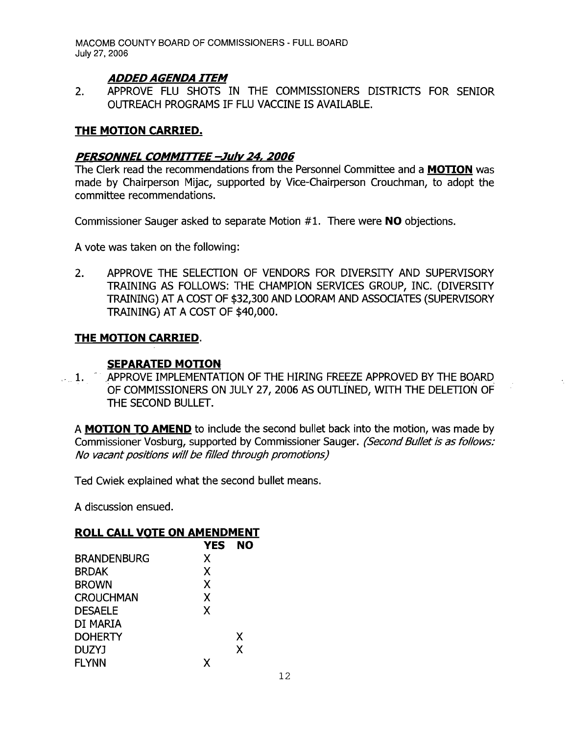## **ADDED AGENDA ITEM**

2. APPROVE FLU SHOTS IN THE COMMISSIONERS DISTRICTS FOR SENIOR OUTREACH PROGRAMS IF FLU VACCINE IS AVAILABLE.

## **THE MOTION CARRIED.**

#### **PERSONNEL COMMIrrEE -July** 24, **2006**

The Clerk read the recommendations from the Personnel Committee and a **MOTION** was made by Chairperson Mijac, supported by Vice-Chairperson Crouchman, to adopt the committee recommendations.

Commissioner Sauger asked to separate Motion #1. There were **NO** objections.

A vote was taken on the following:

2. APPROVE THE SELECTION OF VENDORS FOR DIVERSITY AND SUPERVISORY TRAINING AS FOLLOWS: THE CHAMPION SERVICES GROUP, INC. (DIVERSITY TRAINING) AT A COST OF \$32,300 AND LOORAM AND ASSOCIATES (SUPERVISORY TRAINING) AT A COST OF \$40,000.

#### **THE MOTION CARRIED.**

## **SEPARATED MOTION**

... 1. APPROVE IMPLEMENTATION OF THE HIRING FREEZE APPROVED BY THE BOARD. OF COMMISSIONERS ON JULY 27, 2006 AS OUTLINED, WITH THE DELETION OF THE SECOND BULLET.

A **MOTION TO AMEND** to include the second bullet back into the motion, was made by Commissioner Vosburg, supported by Commissioner Sauger. (Second Bullet is as follows: No vacant positions will be filled through promotions)

Ted Cwiek explained what the second bullet means.

A discussion ensued.

#### **ROLL CALL VOTE ON AMENDMENT**

| <b>YES</b> | <b>NO</b> |
|------------|-----------|
| X          |           |
| X          |           |
| X          |           |
| X          |           |
| X          |           |
|            |           |
|            | X         |
|            | X         |
| x          |           |
|            |           |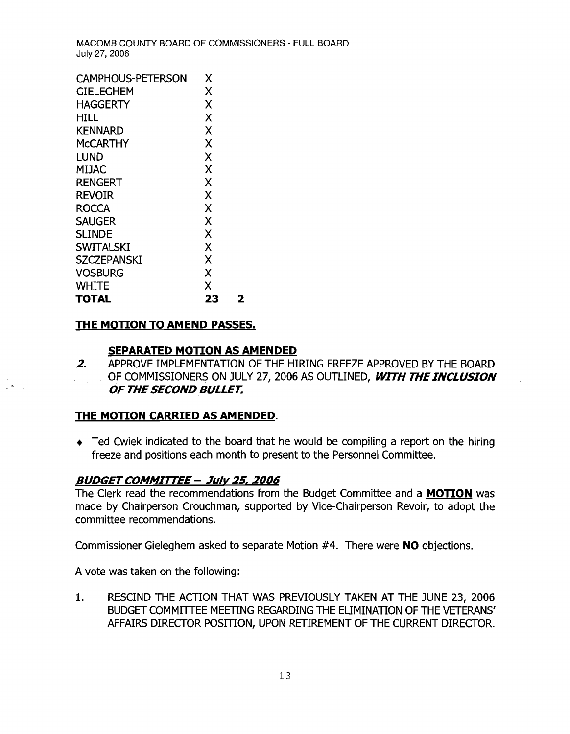| <b>CAMPHOUS-PETERSON</b> | Х  |   |
|--------------------------|----|---|
| GIELEGHEM                | Χ  |   |
| HAGGERTY                 | Χ  |   |
| HILL                     | Χ  |   |
| KENNARD                  | X  |   |
| McCARTHY                 | Χ  |   |
| <b>LUND</b>              | X  |   |
| MIJAC                    | X  |   |
| RENGERT                  | X  |   |
| Revoir                   | X  |   |
| ROCCA                    | X  |   |
| <b>SAUGER</b>            | X  |   |
| <b>SLINDE</b>            | X  |   |
| <b>SWITALSKI</b>         | X  |   |
| <b>SZCZEPANSKI</b>       | X  |   |
| <b>VOSBURG</b>           | X  |   |
| WHITE                    | X  |   |
| <b>TOTAL</b>             | 23 | 2 |
|                          |    |   |

## **THE MOTION TO AMEND PASSES.**

## **SEPARATED MOTION AS AMENDED**

**2.** APPROVE IMPLEMENTATION OF THE HIRING FREEZE APPROVED BY THE BOARD OF COMMISSIONERS ON JULY 27, 2006 AS OUTLINED, WITH THE INCLUSION **OF THE SECOND BULLET.** 

## **THE MOTION CARRIED AS AMENDED.**

 $\bullet$  Ted Cwiek indicated to the board that he would be compiling a report on the hiring freeze and positions each month to present to the Personnel Committee.

## **BUDGETCOMMIrrEE-** *Julv2s' 2006*

The Clerk read the recommendations from the Budget Committee and a **MOTION** was made by Chairperson Crouchman, supported by Vice-Chairperson Revoir, to adopt the committee recommendations.

Commissioner Gieleghem asked to separate Motion #4. There were **NO** objections.

A vote was taken on the following:

1. RESCIND THE ACTION THAT WAS PREVIOUSLY TAKEN AT THE JUNE 23, 2006 BUDGET COMMITTEE MEETING REGARDING THE ELIMINATION OF THE VETERANS' AFFAIRS DIRECTOR POSITION, UPON RETIREMENT OF THE CURRENT DIRECTOR.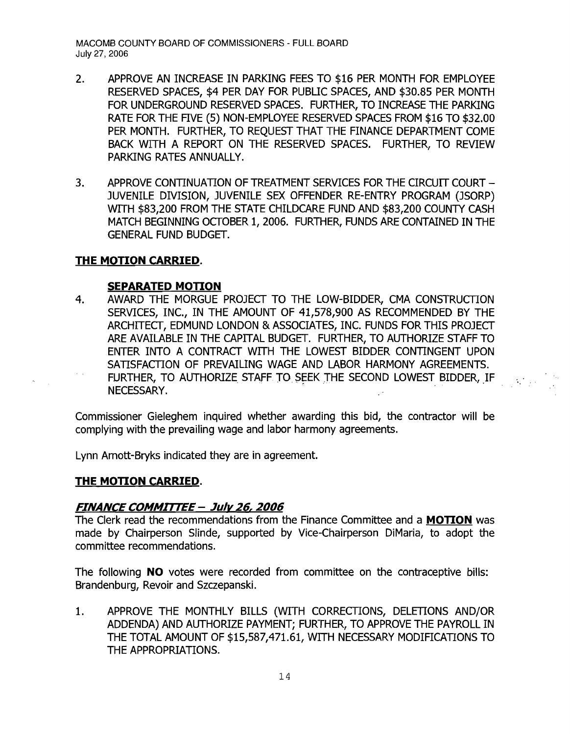- 2. APPROVE AN INCREASE IN PARKING FEES TO \$16 PER MONTH FOR EMPLOYEE RESERVED SPACES, \$4 PER DAY FOR PUBLIC SPACES, AND \$30.85 PER MONTH FOR UNDERGROUND RESERVED SPACES. FURTHER, TO INCREASE THE PARKING RATE FOR THE FIVE (5) NON-EMPLOYEE RESERVED SPACES FROM \$16 TO \$32.00 PER MONTH. FURTHER, TO REQUEST THAT THE FINANCE DEPARTMENT COME BACK WITH A REPORT ON THE RESERVED SPACES. FURTHER, TO REVIEW PARKING RATES ANNUALLY.
- 3. APPROVE CONTINUATION OF TREATMENT SERVICES FOR THE CIRCUIT COURT -JUVENILE DIVISION, JUVENILE SEX OFFENDER RE-ENTRY PROGRAM (JSORP) WITH \$83,200 FROM THE STATE CHILDCARE FUND AND \$83,200 COUNTY CASH MATCH BEGINNING OCfOBER 1, 2006. FURTHER, FUNDS ARE CONTAINED IN THE GENERAL FUND BUDGET.

## **THE MOTION CARRIED.**

#### **SEPARATED MOTION**

4. AWARD THE MORGUE PROJECT TO THE LOW-BIDDER, CMA CONSTRUCTION SERVICES, INC., IN THE AMOUNT OF 41,578,900 AS RECOMMENDED BY THE ARCHITECf, EDMUND LONDON & ASSOCIATES, INC. FUNDS FOR THIS PROJECf ARE AVAILABLE IN THE CAPITAL BUDGET. FURTHER, TO AUTHORIZE STAFF TO ENTER INTO A CONTRACf WITH THE LOWEST BIDDER CONTINGENT UPON SATISFACTION OF PREVAILING WAGE AND LABOR HARMONY AGREEMENTS. FURTHER, TO AUTHORIZE STAFF TO \$EEK THE SECOND LOWEST BIDDER, IF ENTER THIS INTERNATION CONTRIGUES IN THE ESTABLE SERVERT SONTHIGHT STONE.<br>SATISFACTION OF PREVAILING WAGE AND LABOR HARMONY AGREEMENTS.<br>FURTHER, TO AUTHORIZE STAFF TO SEEK THE SECOND LOWEST BIDDER, IF<br>NECESSARY.

Commissioner Gieleghem inquired whether awarding this bid, the contractor will be complying with the prevailing wage and labor harmony agreements.

Lynn Arnott-Bryks indicated they are in agreement.

#### **THE MOTION CARRIED.**

#### **FINANCE COMMIrrEE- Julv 26, 2006**

The Clerk read the recommendations from the Finance Committee and a **MOTION** was made by Chairperson Slinde, supported by Vice-Chairperson DiMaria, to adopt the committee recommendations.

The following **NO** votes were recorded from committee on the contraceptive bills: Brandenburg, Revoir and Szczepanski.

1. APPROVE THE MONTHLY BILLS (WITH CORRECTIONS, DELETIONS AND/OR ADDENDA) AND AUTHORIZE PAYMENT; FURTHER, TO APPROVE THE PAYROLL IN THE TOTAL AMOUNT OF \$15,587,471.61, WITH NECESSARY MODIFICATIONS TO THE APPROPRIATIONS.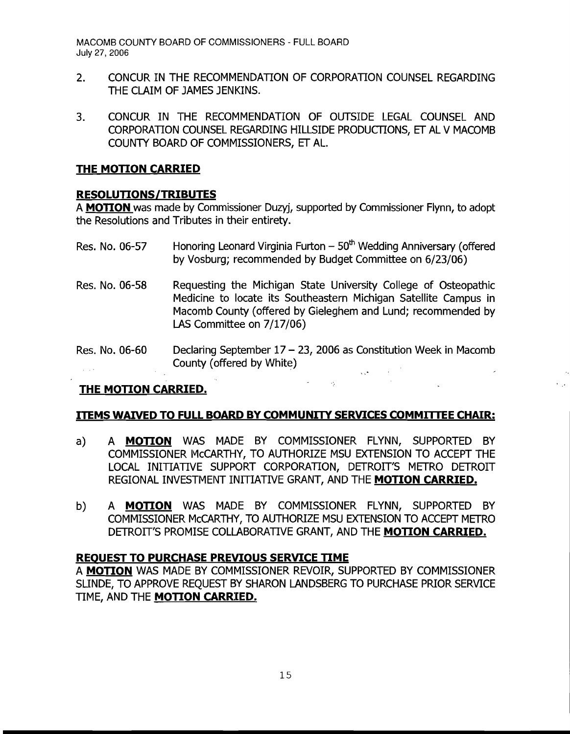- 2. CONCUR IN THE RECOMMENDATION OF CORPORATION COUNSEL REGARDING THE CLAIM OF JAMES JENKINS.
- 3. CONCUR IN THE RECOMMENDATION OF OUTSIDE LEGAL COUNSEL AND CORPORATION COUNSEL REGARDING HILLSIDE PRODUCITONS, ET AL V MACOMB COUNTY BOARD OF COMMISSIONERS, ET AL.

#### **THE MOTION CARRIED**

## **RESOLUTIONS/TRIBUTES**

A **MOTION** was made by Commissioner Duzyj, supported by Commissioner Flynn, to adopt the Resolutions and Tributes in their entirety.

- Res. No. 06-57 Honoring Leonard Virginia Furton  $-50<sup>th</sup>$  Wedding Anniversary (offered by Vosburg; recommended by Budget Committee on 6/23/06)
- Res. No. 06-58 Requesting the Michigan State University College of Osteopathic Medicine to locate its Southeastern Michigan Satellite Campus in Macomb County (offered by Gieleghem and Lund; recommended by LAS Committee on 7/17/06)
- Res. No. 06-60 Declaring September  $17 23$ , 2006 as Constitution Week in Macomb County (offered by White)  $\sqrt{s}$

# **THE MOTION CARRIED.**

#### **ITEMS WAIVED TO FULL BOARD BY COMMUNITY SERVICES COMMITTEE CHAIR:**

- a) A **MOTION** WAS MADE BY COMMISSIONER FLYNN, SUPPORTED BY COMMISSIONER MCCARTHY, TO AUTHORIZE MSU EXTENSION TO ACCEPT THE LOCAL INITIATIVE SUPPORT CORPORATION, DETROIT'S METRO DETROIT REGIONAL INVESTMENT INITIATIVE GRANT, AND THE **MOTION CARRIED.**
- b) A **MOTION** WAS MADE BY COMMISSIONER FLYNN, SUPPORTED BY COMMISSIONER McCARTHY, TO AUTHORIZE MSU EXTENSION TO ACCEPT METRO DETROIT'S PROMISE COLLABORATIVE GRANT, AND THE **MOTION CARRIED.**

#### **REOUEST TO PURCHASE PREVIOUS SERVICE TIME**

A **MOTION** WAS MADE BY COMMISSIONER REVOIR, SUPPORTED BY COMMISSIONER SUNDE, TO APPROVE REQUEST BY SHARON LANDSBERG TO PURCHASE PRIOR SERVICE TIME, AND THE **MOTION CARRIED.**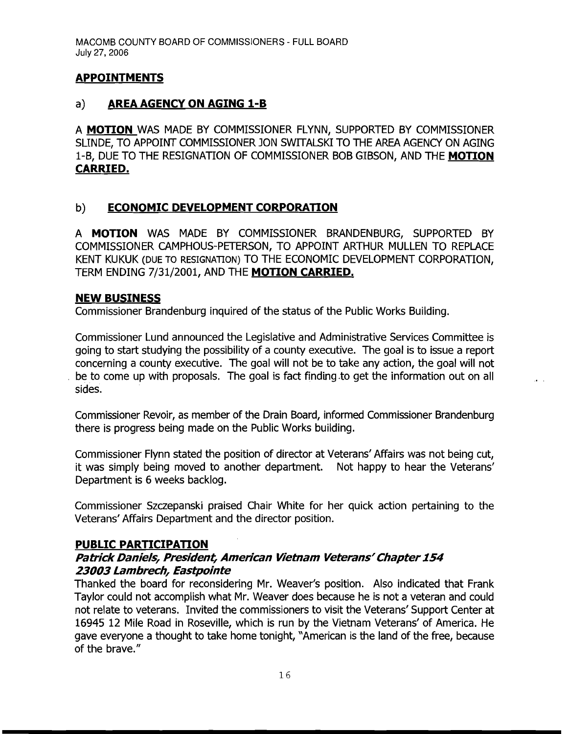## **APPOINTMENTS**

## a) **AREA AGENCY ON AGING l-B**

A **MOTION** WAS MADE BY COMMISSIONER FLYNN, SUPPORTED BY COMMISSIONER SLINDE, TO APPOINT COMMISSIONER JON SWITALSKI TO THE AREA AGENCY ON AGING 1-B, DUE TO THE RESIGNATION OF COMMISSIONER BOB GIBSON, AND THE **MOTION CARRIED.** 

## b) **ECONOMIC DEVELOPMENT CORPORATION**

A **MOTION** WAS MADE BY COMMISSIONER BRANDENBURG, SUPPORTED BY COMMISSIONER CAMPHOUS-PETERSON, TO APPOINT ARTHUR MULLEN TO REPLACE KENT KUKUK (DUE TO RESIGNATION) TO THE ECONOMIC DEVELOPMENT CORPORATION, TERM ENDING 7/31/2001, AND THE **MOTION CARRIED.** 

#### **NEW BUSINESS**

Commissioner Brandenburg inquired of the status of the Public Works Building.

Commissioner Lund announced the Legislative and Administrative Services Committee is going to start studying the possibility of a county executive. The goal is to issue a report concerning a county executive. The goal will not be to take any action, the goal will not be to come up with proposals. The goal is fact finding to get the information out on all sides.

Commissioner Revoir, as member of the Drain Board, informed Commissioner Brandenburg there is progress being made on the Public Works building.

Commissioner Flynn stated the position of director at Veterans' Affairs was not being cut, it was simply being moved to another department. Not happy to hear the Veterans' Department is 6 weeks backlog.

Commissioner Szczepanski praised Chair White for her quick action pertaining to the Veterans' Affairs Department and the director position.

#### **PUBLIC PARTICIPATION**

## **Patrick Daniels, President, American Vietnam Veterans' Chapter154 23003 Lambrech, Eastpointe**

Thanked the board for reconsidering Mr. Weaver's position. Also indicated that Frank Taylor could not accomplish what Mr. Weaver does because he is not a veteran and could not relate to veterans. Invited the commissioners to visit the Veterans' Support Center at 16945 12 Mile Road in Roseville, which is run by the Vietnam Veterans' of America. He gave everyone a thought to take home tonight, "American is the land of the free, because of the brave."